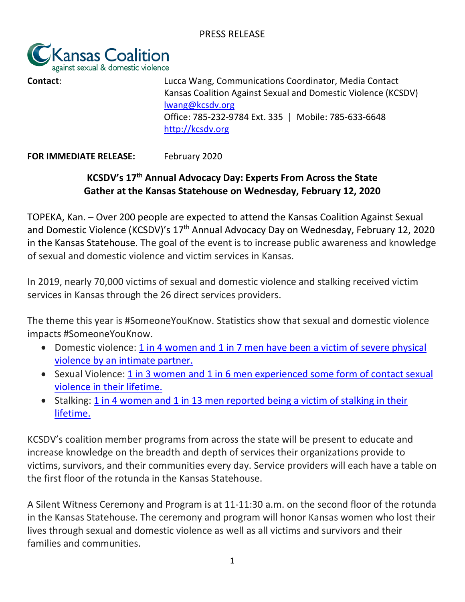

**Contact: Contact**: **Contact**: **Contact Contact Contact Contact Contact Contact Contact Contact Contact Contact Contact Contact Contact Contact Contact Contact Contact Contact Contact** Kansas Coalition Against Sexual and Domestic Violence (KCSDV) [lwang@kcsdv.org](mailto:lwang@kcsdv.org) Office: 785-232-9784 Ext. 335 | Mobile: 785-633-6648 [http://kcsdv.org](http://kcsdv.org/)

**FOR IMMEDIATE RELEASE:** February 2020

## **KCSDV's 17th Annual Advocacy Day: Experts From Across the State Gather at the Kansas Statehouse on Wednesday, February 12, 2020**

TOPEKA, Kan. – Over 200 people are expected to attend the Kansas Coalition Against Sexual and Domestic Violence (KCSDV)'s 17<sup>th</sup> Annual Advocacy Day on Wednesday, February 12, 2020 in the Kansas Statehouse. The goal of the event is to increase public awareness and knowledge of sexual and domestic violence and victim services in Kansas.

In 2019, nearly 70,000 victims of sexual and domestic violence and stalking received victim services in Kansas through the 26 direct services providers.

The theme this year is #SomeoneYouKnow. Statistics show that sexual and domestic violence impacts #SomeoneYouKnow.

- Domestic violence: 1 in 4 women and 1 in 7 men have been a victim of severe physical [violence by an intimate partner.](https://www.kcsdv.org/learn-more/statistics/#dv)
- Sexual Violence: [1 in 3 women and 1 in 6 men experienced some form of contact sexual](https://www.nsvrc.org/node/4737)  [violence in their lifetime.](https://www.nsvrc.org/node/4737)
- Stalking: [1 in 4 women and 1 in 13 men reported being a](https://www.stalkingawareness.org/wp-content/uploads/2019/01/SPARC_StalkngFactSheet_2018_FINAL.pdf) victim of stalking in their [lifetime.](https://www.stalkingawareness.org/wp-content/uploads/2019/01/SPARC_StalkngFactSheet_2018_FINAL.pdf)

KCSDV's coalition member programs from across the state will be present to educate and increase knowledge on the breadth and depth of services their organizations provide to victims, survivors, and their communities every day. Service providers will each have a table on the first floor of the rotunda in the Kansas Statehouse.

A Silent Witness Ceremony and Program is at 11-11:30 a.m. on the second floor of the rotunda in the Kansas Statehouse. The ceremony and program will honor Kansas women who lost their lives through sexual and domestic violence as well as all victims and survivors and their families and communities.